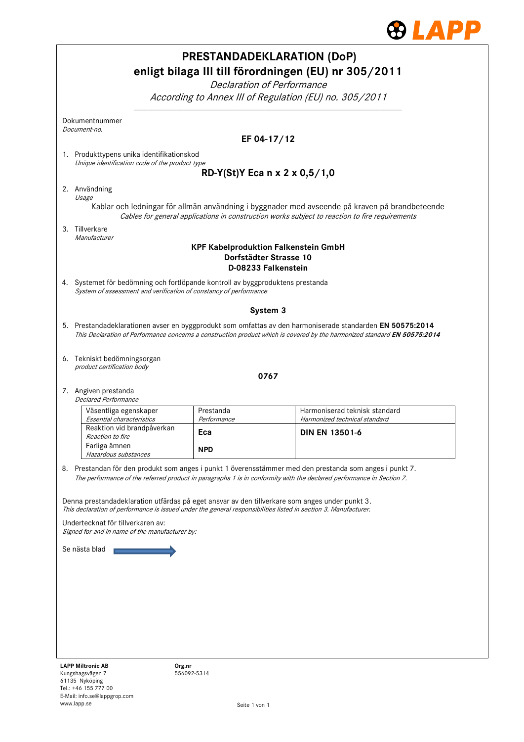

|                                                                                                                                                                                                                                        |                          | <b>PRESTANDADEKLARATION (DoP)</b><br>enligt bilaga III till förordningen (EU) nr 305/2011                                                                                                                                       |  |  |  |  |
|----------------------------------------------------------------------------------------------------------------------------------------------------------------------------------------------------------------------------------------|--------------------------|---------------------------------------------------------------------------------------------------------------------------------------------------------------------------------------------------------------------------------|--|--|--|--|
| Declaration of Performance                                                                                                                                                                                                             |                          |                                                                                                                                                                                                                                 |  |  |  |  |
| According to Annex III of Regulation (EU) no. 305/2011                                                                                                                                                                                 |                          |                                                                                                                                                                                                                                 |  |  |  |  |
| Dokumentnummer<br>Document-no.                                                                                                                                                                                                         |                          |                                                                                                                                                                                                                                 |  |  |  |  |
|                                                                                                                                                                                                                                        |                          | EF 04-17/12                                                                                                                                                                                                                     |  |  |  |  |
| 1. Produkttypens unika identifikationskod<br>Unique identification code of the product type                                                                                                                                            |                          |                                                                                                                                                                                                                                 |  |  |  |  |
| RD-Y(St)Y Eca n x 2 x 0,5/1,0                                                                                                                                                                                                          |                          |                                                                                                                                                                                                                                 |  |  |  |  |
| 2. Användning<br>Usage                                                                                                                                                                                                                 |                          |                                                                                                                                                                                                                                 |  |  |  |  |
| Kablar och ledningar för allmän användning i byggnader med avseende på kraven på brandbeteende<br>Cables for general applications in construction works subject to reaction to fire requirements                                       |                          |                                                                                                                                                                                                                                 |  |  |  |  |
| 3. Tillverkare<br>Manufacturer                                                                                                                                                                                                         |                          |                                                                                                                                                                                                                                 |  |  |  |  |
| <b>KPF Kabelproduktion Falkenstein GmbH</b><br>Dorfstädter Strasse 10<br>D-08233 Falkenstein                                                                                                                                           |                          |                                                                                                                                                                                                                                 |  |  |  |  |
| 4. Systemet för bedömning och fortlöpande kontroll av byggproduktens prestanda<br>System of assessment and verification of constancy of performance                                                                                    |                          |                                                                                                                                                                                                                                 |  |  |  |  |
|                                                                                                                                                                                                                                        |                          | System 3                                                                                                                                                                                                                        |  |  |  |  |
| 5. Prestandadeklarationen avser en byggprodukt som omfattas av den harmoniserade standarden EN 50575:2014<br>This Declaration of Performance concerns a construction product which is covered by the harmonized standard EN 50575:2014 |                          |                                                                                                                                                                                                                                 |  |  |  |  |
| 6. Tekniskt bedömningsorgan<br>product certification body                                                                                                                                                                              |                          |                                                                                                                                                                                                                                 |  |  |  |  |
|                                                                                                                                                                                                                                        |                          | 0767                                                                                                                                                                                                                            |  |  |  |  |
| 7. Angiven prestanda<br><b>Declared Performance</b>                                                                                                                                                                                    |                          |                                                                                                                                                                                                                                 |  |  |  |  |
| Väsentliga egenskaper<br>Essential characteristics                                                                                                                                                                                     | Prestanda<br>Performance | Harmoniserad teknisk standard<br>Harmonized technical standard                                                                                                                                                                  |  |  |  |  |
| Reaktion vid brandpåverkan<br>Reaction to fire                                                                                                                                                                                         | Eca                      | <b>DIN EN 13501-6</b>                                                                                                                                                                                                           |  |  |  |  |
| Farliga ämnen<br>Hazardous substances                                                                                                                                                                                                  | <b>NPD</b>               |                                                                                                                                                                                                                                 |  |  |  |  |
|                                                                                                                                                                                                                                        |                          | 8. Prestandan för den produkt som anges i punkt 1 överensstämmer med den prestanda som anges i punkt 7.<br>The performance of the referred product in paragraphs 1 is in conformity with the declared performance in Section 7. |  |  |  |  |
| Denna prestandadeklaration utfärdas på eget ansvar av den tillverkare som anges under punkt 3.<br>This declaration of performance is issued under the general responsibilities listed in section 3. Manufacturer.                      |                          |                                                                                                                                                                                                                                 |  |  |  |  |
| Undertecknat för tillverkaren av:<br>Signed for and in name of the manufacturer by:                                                                                                                                                    |                          |                                                                                                                                                                                                                                 |  |  |  |  |
| Se nästa blad                                                                                                                                                                                                                          |                          |                                                                                                                                                                                                                                 |  |  |  |  |
|                                                                                                                                                                                                                                        |                          |                                                                                                                                                                                                                                 |  |  |  |  |
|                                                                                                                                                                                                                                        |                          |                                                                                                                                                                                                                                 |  |  |  |  |
|                                                                                                                                                                                                                                        |                          |                                                                                                                                                                                                                                 |  |  |  |  |
|                                                                                                                                                                                                                                        |                          |                                                                                                                                                                                                                                 |  |  |  |  |
|                                                                                                                                                                                                                                        |                          |                                                                                                                                                                                                                                 |  |  |  |  |
| <b>LAPP Miltronic AB</b><br>Kungshagsvägen 7                                                                                                                                                                                           | Org.nr<br>5560025314     |                                                                                                                                                                                                                                 |  |  |  |  |

556092-5314